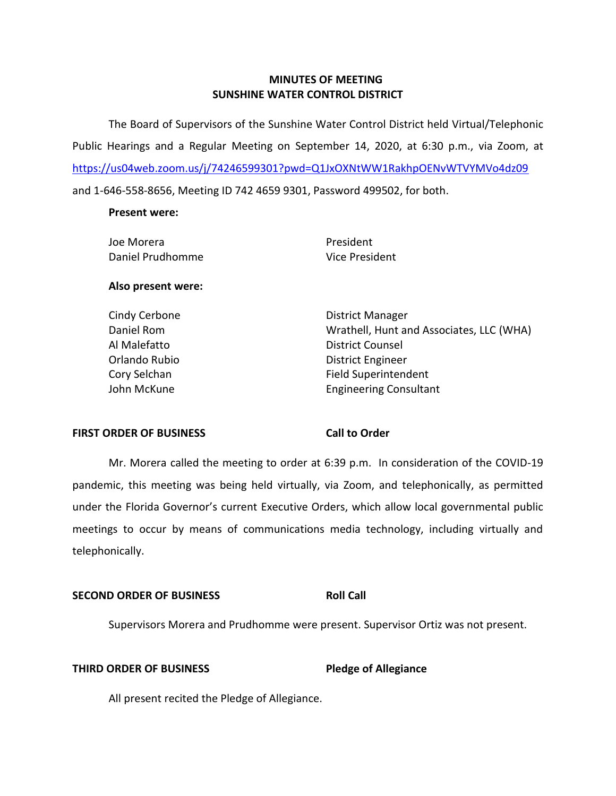# **MINUTES OF MEETING SUNSHINE WATER CONTROL DISTRICT**

 The Board of Supervisors of the Sunshine Water Control District held Virtual/Telephonic Public Hearings and a Regular Meeting on September 14, 2020, at 6:30 p.m., via Zoom, at <https://us04web.zoom.us/j/74246599301?pwd=Q1JxOXNtWW1RakhpOENvWTVYMVo4dz09> and 1-646-558-8656, Meeting ID 742 4659 9301, Password 499502, for both.

### **Present were:**

| Joe Morera         | President                                |
|--------------------|------------------------------------------|
| Daniel Prudhomme   | Vice President                           |
| Also present were: |                                          |
| Cindy Cerbone      | District Manager                         |
| Daniel Rom         | Wrathell, Hunt and Associates, LLC (WHA) |
| Al Malefatto       | <b>District Counsel</b>                  |
| Orlando Rubio      | District Engineer                        |
| Cory Selchan       | <b>Field Superintendent</b>              |

John McKune Engineering Consultant

### **FIRST ORDER OF BUSINESS**

### **Call to Order**

 Mr. Morera called the meeting to order at 6:39 p.m. In consideration of the COVID-19 pandemic, this meeting was being held virtually, via Zoom, and telephonically, as permitted meetings to occur by means of communications media technology, including virtually and under the Florida Governor's current Executive Orders, which allow local governmental public telephonically.

### **Roll Call SECOND ORDER OF BUSINESS**

Supervisors Morera and Prudhomme were present. Supervisor Ortiz was not present.

### **THIRD ORDER OF BUSINESS**

**Pledge of Allegiance** 

All present recited the Pledge of Allegiance.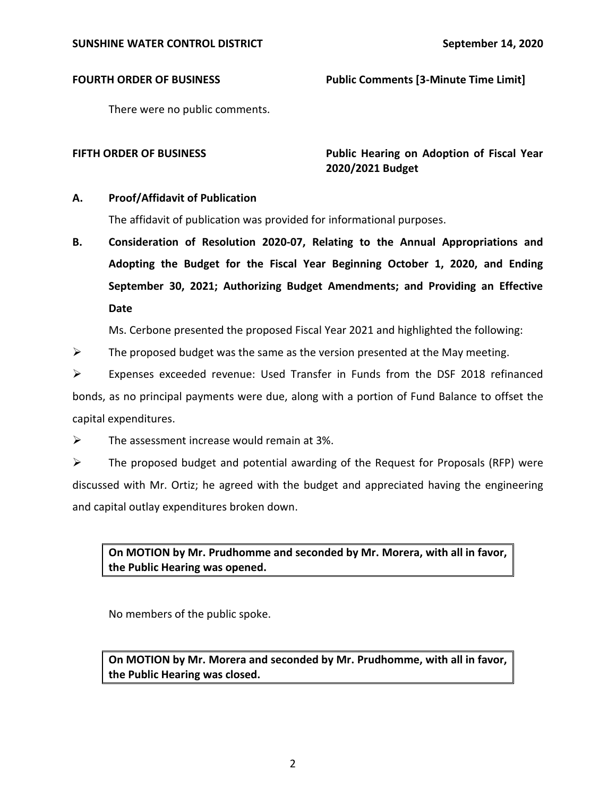# **FOURTH ORDER OF BUSINESS** Public Comments [3-Minute Time Limit]

There were no public comments.

FIFTH ORDER OF BUSINESS **The State of Public Hearing on Adoption of Fiscal Year 2020/2021 Budget** 

# **A. Proof/Affidavit of Publication**

The affidavit of publication was provided for informational purposes.

 **B. Consideration of Resolution 2020-07, Relating to the Annual Appropriations and Adopting the Budget for the Fiscal Year Beginning October 1, 2020, and Ending September 30, 2021; Authorizing Budget Amendments; and Providing an Effective Date** 

Ms. Cerbone presented the proposed Fiscal Year 2021 and highlighted the following:

- $\triangleright$  The proposed budget was the same as the version presented at the May meeting.
- ➢ Expenses exceeded revenue: Used Transfer in Funds from the DSF 2018 refinanced bonds, as no principal payments were due, along with a portion of Fund Balance to offset the capital expenditures.
- $\triangleright$  The assessment increase would remain at 3%.

 $\triangleright$  The proposed budget and potential awarding of the Request for Proposals (RFP) were discussed with Mr. Ortiz; he agreed with the budget and appreciated having the engineering and capital outlay expenditures broken down.

 **On MOTION by Mr. Prudhomme and seconded by Mr. Morera, with all in favor, the Public Hearing was opened.** 

No members of the public spoke.

 **On MOTION by Mr. Morera and seconded by Mr. Prudhomme, with all in favor, the Public Hearing was closed.**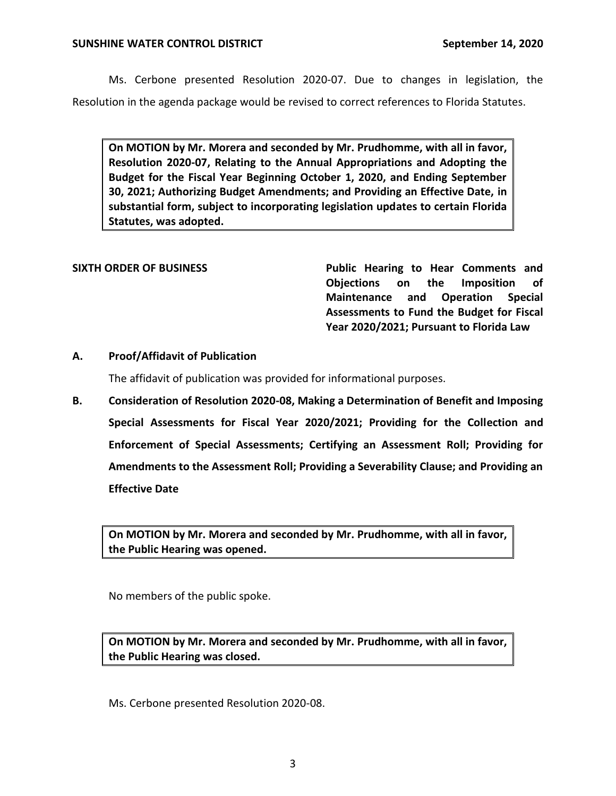Ms. Cerbone presented Resolution 2020-07. Due to changes in legislation, the Resolution in the agenda package would be revised to correct references to Florida Statutes.

 **On MOTION by Mr. Morera and seconded by Mr. Prudhomme, with all in favor, Resolution 2020-07, Relating to the Annual Appropriations and Adopting the Budget for the Fiscal Year Beginning October 1, 2020, and Ending September 30, 2021; Authorizing Budget Amendments; and Providing an Effective Date, in substantial form, subject to incorporating legislation updates to certain Florida Statutes, was adopted.** 

SIXTH ORDER OF BUSINESS **Public Hearing to Hear Comments and Objections on the Imposition of Maintenance and Operation Special Assessments to Fund the Budget for Fiscal Year 2020/2021; Pursuant to Florida Law** 

# **A. Proof/Affidavit of Publication**

The affidavit of publication was provided for informational purposes.

 **B. Consideration of Resolution 2020-08, Making a Determination of Benefit and Imposing Special Assessments for Fiscal Year 2020/2021; Providing for the Collection and Enforcement of Special Assessments; Certifying an Assessment Roll; Providing for Amendments to the Assessment Roll; Providing a Severability Clause; and Providing an Effective Date** 

 **On MOTION by Mr. Morera and seconded by Mr. Prudhomme, with all in favor, the Public Hearing was opened.** 

No members of the public spoke.

 **On MOTION by Mr. Morera and seconded by Mr. Prudhomme, with all in favor, the Public Hearing was closed.** 

Ms. Cerbone presented Resolution 2020-08.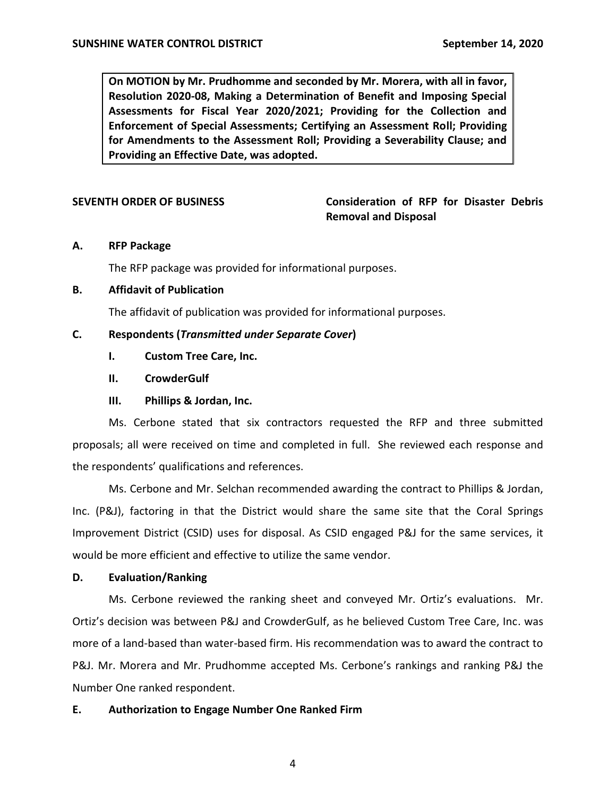**On MOTION by Mr. Prudhomme and seconded by Mr. Morera, with all in favor, Resolution 2020-08, Making a Determination of Benefit and Imposing Special Assessments for Fiscal Year 2020/2021; Providing for the Collection and Enforcement of Special Assessments; Certifying an Assessment Roll; Providing for Amendments to the Assessment Roll; Providing a Severability Clause; and Providing an Effective Date, was adopted.** 

 **SEVENTH ORDER OF BUSINESS Consideration of RFP for Disaster Debris Removal and Disposal** 

# **A. RFP Package**

The RFP package was provided for informational purposes.

# **B. Affidavit of Publication**

The affidavit of publication was provided for informational purposes.

# **C. Respondents (***Transmitted under Separate Cover***)**

- **I. Custom Tree Care, Inc.**
- **II. CrowderGulf**
- **III. Phillips & Jordan, Inc.**

 Ms. Cerbone stated that six contractors requested the RFP and three submitted proposals; all were received on time and completed in full. She reviewed each response and the respondents' qualifications and references.

 Ms. Cerbone and Mr. Selchan recommended awarding the contract to Phillips & Jordan, Inc. (P&J), factoring in that the District would share the same site that the Coral Springs Improvement District (CSID) uses for disposal. As CSID engaged P&J for the same services, it would be more efficient and effective to utilize the same vendor.

### **D. Evaluation/Ranking**

 Ms. Cerbone reviewed the ranking sheet and conveyed Mr. Ortiz's evaluations. Mr. Ortiz's decision was between P&J and CrowderGulf, as he believed Custom Tree Care, Inc. was more of a land-based than water-based firm. His recommendation was to award the contract to P&J. Mr. Morera and Mr. Prudhomme accepted Ms. Cerbone's rankings and ranking P&J the Number One ranked respondent.

# **E. Authorization to Engage Number One Ranked Firm**

4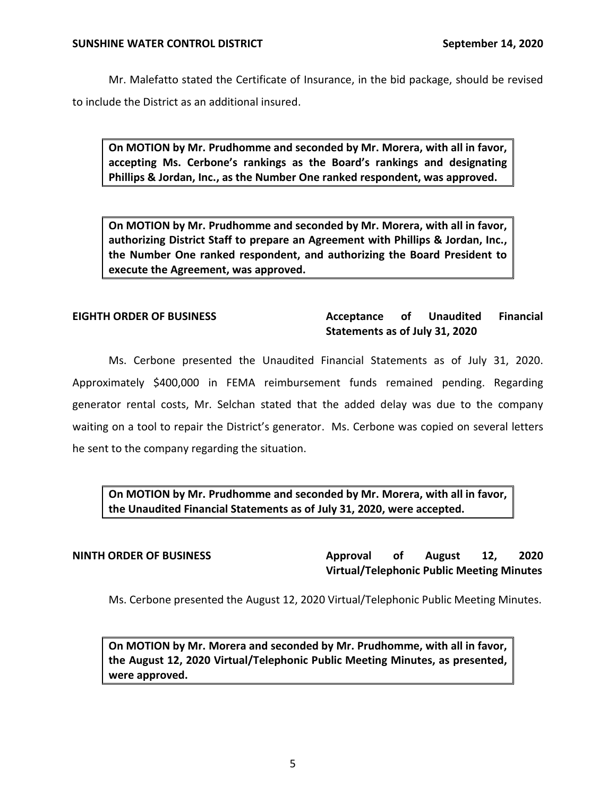Mr. Malefatto stated the Certificate of Insurance, in the bid package, should be revised to include the District as an additional insured.

 **On MOTION by Mr. Prudhomme and seconded by Mr. Morera, with all in favor, accepting Ms. Cerbone's rankings as the Board's rankings and designating Phillips & Jordan, Inc., as the Number One ranked respondent, was approved.** 

 **On MOTION by Mr. Prudhomme and seconded by Mr. Morera, with all in favor, authorizing District Staff to prepare an Agreement with Phillips & Jordan, Inc., the Number One ranked respondent, and authorizing the Board President to execute the Agreement, was approved.** 

### Acceptance of  **Statements as of July 31, 2020 EIGHTH ORDER OF BUSINESS Acceptance of Unaudited Financial**

 generator rental costs, Mr. Selchan stated that the added delay was due to the company waiting on a tool to repair the District's generator. Ms. Cerbone was copied on several letters Ms. Cerbone presented the Unaudited Financial Statements as of July 31, 2020. Approximately \$400,000 in FEMA reimbursement funds remained pending. Regarding he sent to the company regarding the situation.

 **On MOTION by Mr. Prudhomme and seconded by Mr. Morera, with all in favor, the Unaudited Financial Statements as of July 31, 2020, were accepted.** 

**Approval NINTH ORDER OF BUSINESS Approval of August 12, 2020 Virtual/Telephonic Public Meeting Minutes** 

Ms. Cerbone presented the August 12, 2020 Virtual/Telephonic Public Meeting Minutes.

 **On MOTION by Mr. Morera and seconded by Mr. Prudhomme, with all in favor, the August 12, 2020 Virtual/Telephonic Public Meeting Minutes, as presented, were approved.**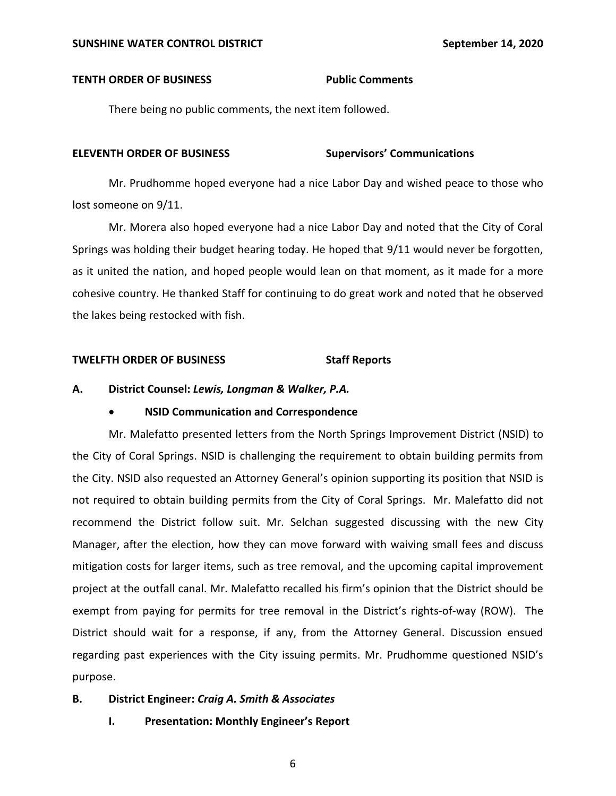### **TENTH ORDER OF BUSINESS FOR Public Comments**

There being no public comments, the next item followed.

### **ELEVENTH ORDER OF BUSINESS Supervisors' Communications**

 Mr. Prudhomme hoped everyone had a nice Labor Day and wished peace to those who lost someone on 9/11.

 Mr. Morera also hoped everyone had a nice Labor Day and noted that the City of Coral Springs was holding their budget hearing today. He hoped that 9/11 would never be forgotten, as it united the nation, and hoped people would lean on that moment, as it made for a more cohesive country. He thanked Staff for continuing to do great work and noted that he observed the lakes being restocked with fish.

### **TWELFTH ORDER OF BUSINESS Staff Reports**

### **A. District Counsel:** *Lewis, Longman & Walker, P.A.*

# • **NSID Communication and Correspondence**

 Mr. Malefatto presented letters from the North Springs Improvement District (NSID) to not required to obtain building permits from the City of Coral Springs. Mr. Malefatto did not recommend the District follow suit. Mr. Selchan suggested discussing with the new City Manager, after the election, how they can move forward with waiving small fees and discuss mitigation costs for larger items, such as tree removal, and the upcoming capital improvement project at the outfall canal. Mr. Malefatto recalled his firm's opinion that the District should be exempt from paying for permits for tree removal in the District's rights-of-way (ROW). The District should wait for a response, if any, from the Attorney General. Discussion ensued regarding past experiences with the City issuing permits. Mr. Prudhomme questioned NSID's the City of Coral Springs. NSID is challenging the requirement to obtain building permits from the City. NSID also requested an Attorney General's opinion supporting its position that NSID is purpose.

### **B. District Engineer:** *Craig A. Smith & Associates*

 **I. Presentation: Monthly Engineer's Report**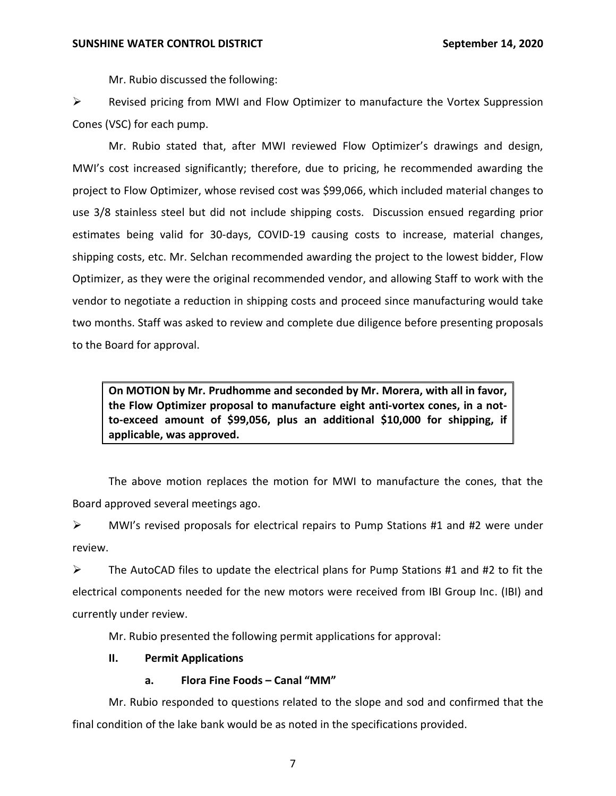Mr. Rubio discussed the following:

 ➢ Revised pricing from MWI and Flow Optimizer to manufacture the Vortex Suppression Cones (VSC) for each pump.

 Mr. Rubio stated that, after MWI reviewed Flow Optimizer's drawings and design, MWI's cost increased significantly; therefore, due to pricing, he recommended awarding the project to Flow Optimizer, whose revised cost was \$99,066, which included material changes to use 3/8 stainless steel but did not include shipping costs. Discussion ensued regarding prior estimates being valid for 30-days, COVID-19 causing costs to increase, material changes, shipping costs, etc. Mr. Selchan recommended awarding the project to the lowest bidder, Flow Optimizer, as they were the original recommended vendor, and allowing Staff to work with the vendor to negotiate a reduction in shipping costs and proceed since manufacturing would take two months. Staff was asked to review and complete due diligence before presenting proposals to the Board for approval.

 **On MOTION by Mr. Prudhomme and seconded by Mr. Morera, with all in favor, the Flow Optimizer proposal to manufacture eight anti-vortex cones, in a not- to-exceed amount of \$99,056, plus an additional \$10,000 for shipping, if applicable, was approved.** 

 The above motion replaces the motion for MWI to manufacture the cones, that the Board approved several meetings ago.

 ➢ MWI's revised proposals for electrical repairs to Pump Stations #1 and #2 were under review.

 $\triangleright$  The AutoCAD files to update the electrical plans for Pump Stations #1 and #2 to fit the electrical components needed for the new motors were received from IBI Group Inc. (IBI) and currently under review.

Mr. Rubio presented the following permit applications for approval:

# **II. Permit Applications**

# **a. Flora Fine Foods – Canal "MM"**

 Mr. Rubio responded to questions related to the slope and sod and confirmed that the final condition of the lake bank would be as noted in the specifications provided.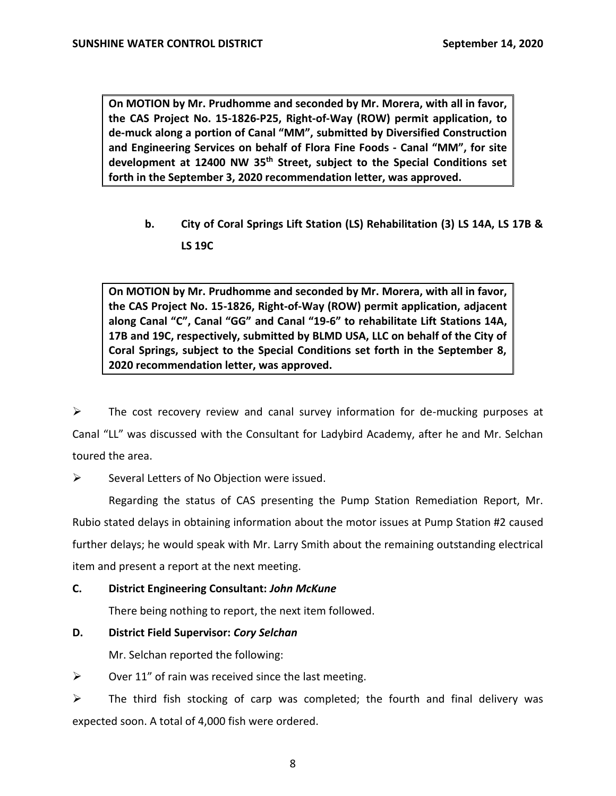**On MOTION by Mr. Prudhomme and seconded by Mr. Morera, with all in favor, the CAS Project No. 15-1826-P25, Right-of-Way (ROW) permit application, to de-muck along a portion of Canal "MM", submitted by Diversified Construction and Engineering Services on behalf of Flora Fine Foods - Canal "MM", for site development at 12400 NW 35th Street, subject to the Special Conditions set forth in the September 3, 2020 recommendation letter, was approved.** 

 **b. City of Coral Springs Lift Station (LS) Rehabilitation (3) LS 14A, LS 17B & LS 19C** 

 **On MOTION by Mr. Prudhomme and seconded by Mr. Morera, with all in favor, the CAS Project No. 15-1826, Right-of-Way (ROW) permit application, adjacent along Canal "C", Canal "GG" and Canal "19-6" to rehabilitate Lift Stations 14A, 17B and 19C, respectively, submitted by BLMD USA, LLC on behalf of the City of Coral Springs, subject to the Special Conditions set forth in the September 8, 2020 recommendation letter, was approved.** 

 ➢ The cost recovery review and canal survey information for de-mucking purposes at Canal "LL" was discussed with the Consultant for Ladybird Academy, after he and Mr. Selchan toured the area.

 $\triangleright$  Several Letters of No Objection were issued.

 Regarding the status of CAS presenting the Pump Station Remediation Report, Mr. Rubio stated delays in obtaining information about the motor issues at Pump Station #2 caused further delays; he would speak with Mr. Larry Smith about the remaining outstanding electrical item and present a report at the next meeting.

# **C. District Engineering Consultant:** *John McKune*

There being nothing to report, the next item followed.

# **D. District Field Supervisor:** *Cory Selchan*

Mr. Selchan reported the following:

 $\triangleright$  Over 11" of rain was received since the last meeting.

 $\triangleright$  The third fish stocking of carp was completed; the fourth and final delivery was expected soon. A total of 4,000 fish were ordered.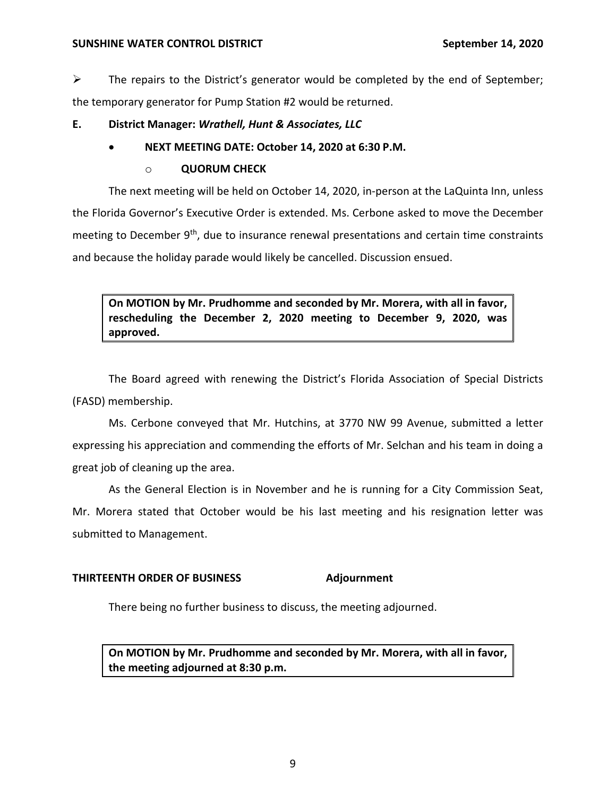## **SUNSHINE WATER CONTROL DISTRICT September 14, 2020**

 $\triangleright$  The repairs to the District's generator would be completed by the end of September; the temporary generator for Pump Station #2 would be returned.

# **E. District Manager:** *Wrathell, Hunt & Associates, LLC*

# • **NEXT MEETING DATE: October 14, 2020 at 6:30 P.M.**

# o **QUORUM CHECK**

 The next meeting will be held on October 14, 2020, in-person at the LaQuinta Inn, unless meeting to December 9<sup>th</sup>, due to insurance renewal presentations and certain time constraints and because the holiday parade would likely be cancelled. Discussion ensued. the Florida Governor's Executive Order is extended. Ms. Cerbone asked to move the December

 **On MOTION by Mr. Prudhomme and seconded by Mr. Morera, with all in favor, rescheduling the December 2, 2020 meeting to December 9, 2020, was approved.** 

 The Board agreed with renewing the District's Florida Association of Special Districts (FASD) membership.

 Ms. Cerbone conveyed that Mr. Hutchins, at 3770 NW 99 Avenue, submitted a letter expressing his appreciation and commending the efforts of Mr. Selchan and his team in doing a great job of cleaning up the area.

 As the General Election is in November and he is running for a City Commission Seat, Mr. Morera stated that October would be his last meeting and his resignation letter was submitted to Management.

# **THIRTEENTH ORDER OF BUSINESS Adjournment**

There being no further business to discuss, the meeting adjourned.

 **On MOTION by Mr. Prudhomme and seconded by Mr. Morera, with all in favor, the meeting adjourned at 8:30 p.m.**